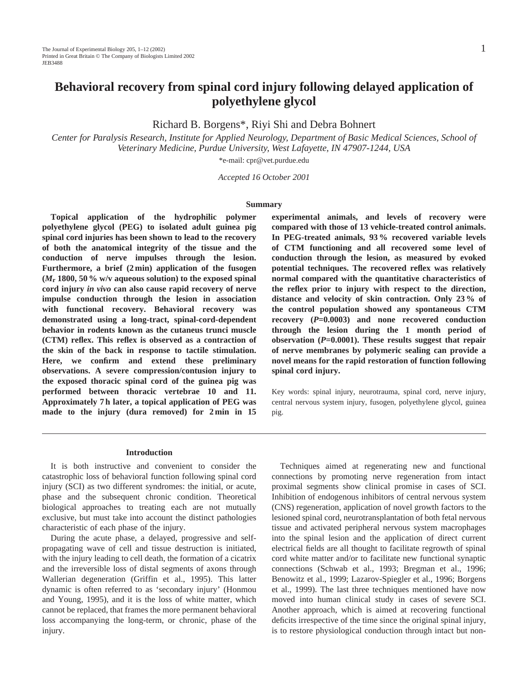# **Behavioral recovery from spinal cord injury following delayed application of polyethylene glycol**

Richard B. Borgens\*, Riyi Shi and Debra Bohnert

*Center for Paralysis Research, Institute for Applied Neurology, Department of Basic Medical Sciences, School of Veterinary Medicine, Purdue University, West Lafayette, IN 47907-1244, USA*

\*e-mail: cpr@vet.purdue.edu

*Accepted 16 October 2001*

#### **Summary**

**Topical application of the hydrophilic polymer polyethylene glycol (PEG) to isolated adult guinea pig spinal cord injuries has been shown to lead to the recovery of both the anatomical integrity of the tissue and the conduction of nerve impulses through the lesion. Furthermore, a brief (2 min) application of the fusogen (***M***r 1800, 50 % w/v aqueous solution) to the exposed spinal cord injury** *in vivo* **can also cause rapid recovery of nerve impulse conduction through the lesion in association with functional recovery. Behavioral recovery was demonstrated using a long-tract, spinal-cord-dependent behavior in rodents known as the cutaneus trunci muscle (CTM) reflex. This reflex is observed as a contraction of the skin of the back in response to tactile stimulation. Here, we confirm and extend these preliminary observations. A severe compression/contusion injury to the exposed thoracic spinal cord of the guinea pig was performed between thoracic vertebrae 10 and 11. Approximately 7 h later, a topical application of PEG was made to the injury (dura removed) for 2 min in 15**

**experimental animals, and levels of recovery were compared with those of 13 vehicle-treated control animals. In PEG-treated animals, 93 % recovered variable levels of CTM functioning and all recovered some level of conduction through the lesion, as measured by evoked potential techniques. The recovered reflex was relatively normal compared with the quantitative characteristics of the reflex prior to injury with respect to the direction, distance and velocity of skin contraction. Only 23 % of the control population showed any spontaneous CTM recovery (***P***=0.0003) and none recovered conduction through the lesion during the 1 month period of observation (***P***=0.0001). These results suggest that repair of nerve membranes by polymeric sealing can provide a novel means for the rapid restoration of function following spinal cord injury.**

Key words: spinal injury, neurotrauma, spinal cord, nerve injury, central nervous system injury, fusogen, polyethylene glycol, guinea pig.

# **Introduction**

It is both instructive and convenient to consider the catastrophic loss of behavioral function following spinal cord injury (SCI) as two different syndromes: the initial, or acute, phase and the subsequent chronic condition. Theoretical biological approaches to treating each are not mutually exclusive, but must take into account the distinct pathologies characteristic of each phase of the injury.

During the acute phase, a delayed, progressive and selfpropagating wave of cell and tissue destruction is initiated, with the injury leading to cell death, the formation of a cicatrix and the irreversible loss of distal segments of axons through Wallerian degeneration (Griffin et al., 1995). This latter dynamic is often referred to as 'secondary injury' (Honmou and Young, 1995), and it is the loss of white matter, which cannot be replaced, that frames the more permanent behavioral loss accompanying the long-term, or chronic, phase of the injury.

Techniques aimed at regenerating new and functional connections by promoting nerve regeneration from intact proximal segments show clinical promise in cases of SCI. Inhibition of endogenous inhibitors of central nervous system (CNS) regeneration, application of novel growth factors to the lesioned spinal cord, neurotransplantation of both fetal nervous tissue and activated peripheral nervous system macrophages into the spinal lesion and the application of direct current electrical fields are all thought to facilitate regrowth of spinal cord white matter and/or to facilitate new functional synaptic connections (Schwab et al., 1993; Bregman et al., 1996; Benowitz et al., 1999; Lazarov-Spiegler et al., 1996; Borgens et al., 1999). The last three techniques mentioned have now moved into human clinical study in cases of severe SCI. Another approach, which is aimed at recovering functional deficits irrespective of the time since the original spinal injury, is to restore physiological conduction through intact but non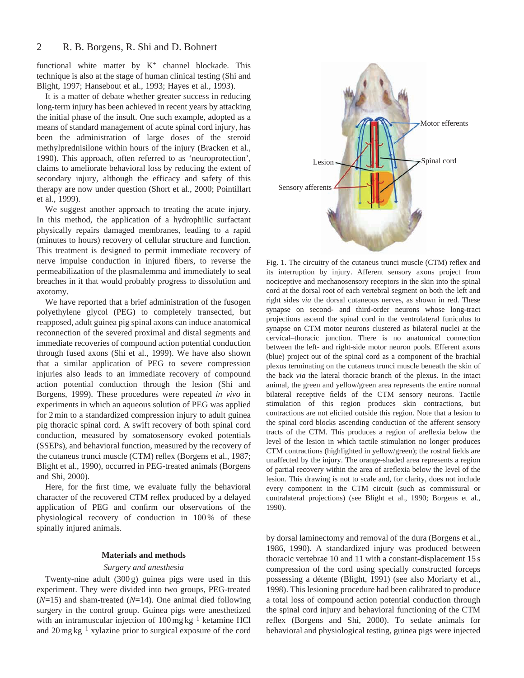functional white matter by  $K^+$  channel blockade. This technique is also at the stage of human clinical testing (Shi and Blight, 1997; Hansebout et al., 1993; Hayes et al., 1993).

It is a matter of debate whether greater success in reducing long-term injury has been achieved in recent years by attacking the initial phase of the insult. One such example, adopted as a means of standard management of acute spinal cord injury, has been the administration of large doses of the steroid methylprednisilone within hours of the injury (Bracken et al., 1990). This approach, often referred to as 'neuroprotection', claims to ameliorate behavioral loss by reducing the extent of secondary injury, although the efficacy and safety of this therapy are now under question (Short et al., 2000; Pointillart et al., 1999).

We suggest another approach to treating the acute injury. In this method, the application of a hydrophilic surfactant physically repairs damaged membranes, leading to a rapid (minutes to hours) recovery of cellular structure and function. This treatment is designed to permit immediate recovery of nerve impulse conduction in injured fibers, to reverse the permeabilization of the plasmalemma and immediately to seal breaches in it that would probably progress to dissolution and axotomy.

We have reported that a brief administration of the fusogen polyethylene glycol (PEG) to completely transected, but reapposed, adult guinea pig spinal axons can induce anatomical reconnection of the severed proximal and distal segments and immediate recoveries of compound action potential conduction through fused axons (Shi et al., 1999). We have also shown that a similar application of PEG to severe compression injuries also leads to an immediate recovery of compound action potential conduction through the lesion (Shi and Borgens, 1999). These procedures were repeated *in vivo* in experiments in which an aqueous solution of PEG was applied for 2 min to a standardized compression injury to adult guinea pig thoracic spinal cord. A swift recovery of both spinal cord conduction, measured by somatosensory evoked potentials (SSEPs), and behavioral function, measured by the recovery of the cutaneus trunci muscle (CTM) reflex (Borgens et al., 1987; Blight et al., 1990), occurred in PEG-treated animals (Borgens and Shi, 2000).

Here, for the first time, we evaluate fully the behavioral character of the recovered CTM reflex produced by a delayed application of PEG and confirm our observations of the physiological recovery of conduction in 100 % of these spinally injured animals.

# **Materials and methods**

# *Surgery and anesthesia*

Twenty-nine adult (300 g) guinea pigs were used in this experiment. They were divided into two groups, PEG-treated (*N*=15) and sham-treated (*N*=14). One animal died following surgery in the control group. Guinea pigs were anesthetized with an intramuscular injection of  $100 \,\text{mg}\,\text{kg}^{-1}$  ketamine HCl and  $20 \,\text{mg}\,\text{kg}^{-1}$  xylazine prior to surgical exposure of the cord



Fig. 1. The circuitry of the cutaneus trunci muscle (CTM) reflex and its interruption by injury. Afferent sensory axons project from nociceptive and mechanosensory receptors in the skin into the spinal cord at the dorsal root of each vertebral segment on both the left and right sides *via* the dorsal cutaneous nerves, as shown in red. These synapse on second- and third-order neurons whose long-tract projections ascend the spinal cord in the ventrolateral funiculus to synapse on CTM motor neurons clustered as bilateral nuclei at the cervical–thoracic junction. There is no anatomical connection between the left- and right-side motor neuron pools. Efferent axons (blue) project out of the spinal cord as a component of the brachial plexus terminating on the cutaneus trunci muscle beneath the skin of the back *via* the lateral thoracic branch of the plexus. In the intact animal, the green and yellow/green area represents the entire normal bilateral receptive fields of the CTM sensory neurons. Tactile stimulation of this region produces skin contractions, but contractions are not elicited outside this region. Note that a lesion to the spinal cord blocks ascending conduction of the afferent sensory tracts of the CTM. This produces a region of areflexia below the level of the lesion in which tactile stimulation no longer produces CTM contractions (highlighted in yellow/green); the rostral fields are unaffected by the injury. The orange-shaded area represents a region of partial recovery within the area of areflexia below the level of the lesion. This drawing is not to scale and, for clarity, does not include every component in the CTM circuit (such as commissural or contralateral projections) (see Blight et al., 1990; Borgens et al., 1990).

by dorsal laminectomy and removal of the dura (Borgens et al., 1986, 1990). A standardized injury was produced between thoracic vertebrae 10 and 11 with a constant-displacement 15 s compression of the cord using specially constructed forceps possessing a détente (Blight, 1991) (see also Moriarty et al., 1998). This lesioning procedure had been calibrated to produce a total loss of compound action potential conduction through the spinal cord injury and behavioral functioning of the CTM reflex (Borgens and Shi, 2000). To sedate animals for behavioral and physiological testing, guinea pigs were injected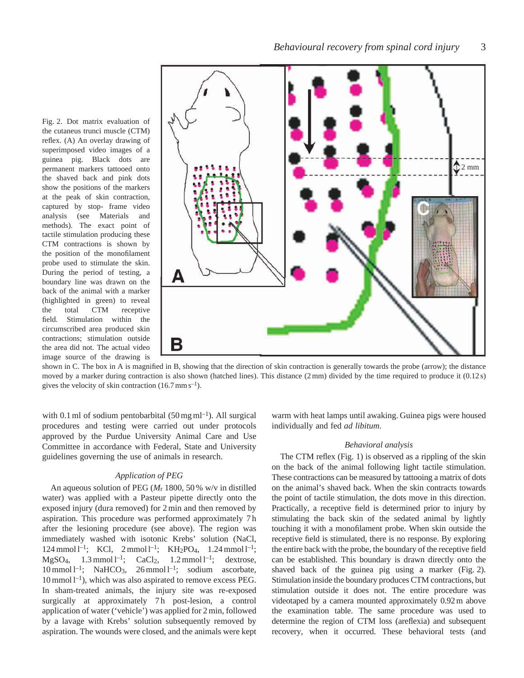Fig. 2. Dot matrix evaluation of the cutaneus trunci muscle (CTM) reflex. (A) An overlay drawing of superimposed video images of a guinea pig. Black dots are permanent markers tattooed onto the shaved back and pink dots show the positions of the markers at the peak of skin contraction, captured by stop- frame video analysis (see Materials and methods). The exact point of tactile stimulation producing these CTM contractions is shown by the position of the monofilament probe used to stimulate the skin. During the period of testing, a boundary line was drawn on the back of the animal with a marker (highlighted in green) to reveal the total CTM receptive field. Stimulation within the circumscribed area produced skin contractions; stimulation outside the area did not. The actual video image source of the drawing is



shown in C. The box in A is magnified in B, showing that the direction of skin contraction is generally towards the probe (arrow); the distance moved by a marker during contraction is also shown (hatched lines). This distance (2 mm) divided by the time required to produce it (0.12 s) gives the velocity of skin contraction  $(16.7 \text{ mm s}^{-1})$ .

with 0.1 ml of sodium pentobarbital  $(50 \text{ mg ml}^{-1})$ . All surgical procedures and testing were carried out under protocols approved by the Purdue University Animal Care and Use Committee in accordance with Federal, State and University guidelines governing the use of animals in research.

# *Application of PEG*

An aqueous solution of PEG (*M*r 1800, 50 % w/v in distilled water) was applied with a Pasteur pipette directly onto the exposed injury (dura removed) for 2 min and then removed by aspiration. This procedure was performed approximately 7 h after the lesioning procedure (see above). The region was immediately washed with isotonic Krebs' solution (NaCl, 124 mmol  $l^{-1}$ ; KCl, 2 mmol  $l^{-1}$ ; KH<sub>2</sub>PO<sub>4</sub>, 1.24 mmol  $l^{-1}$ ; MgSO<sub>4</sub>,  $1.3$  mmol  $l^{-1}$ ; CaCl<sub>2</sub>,  $1.2$  mmol  $l^{-1}$ ; dextrose,  $10 \text{ mmol } 1^{-1}$ ; NaHCO<sub>3</sub>,  $26 \text{ mmol } 1^{-1}$ ; sodium ascorbate,  $10 \text{ mmol } l^{-1}$ ), which was also aspirated to remove excess PEG. In sham-treated animals, the injury site was re-exposed surgically at approximately 7h post-lesion, a control application of water ('vehicle') was applied for 2 min, followed by a lavage with Krebs' solution subsequently removed by aspiration. The wounds were closed, and the animals were kept warm with heat lamps until awaking. Guinea pigs were housed individually and fed *ad libitum*.

# *Behavioral analysis*

The CTM reflex (Fig. 1) is observed as a rippling of the skin on the back of the animal following light tactile stimulation. These contractions can be measured by tattooing a matrix of dots on the animal's shaved back. When the skin contracts towards the point of tactile stimulation, the dots move in this direction. Practically, a receptive field is determined prior to injury by stimulating the back skin of the sedated animal by lightly touching it with a monofilament probe. When skin outside the receptive field is stimulated, there is no response. By exploring the entire back with the probe, the boundary of the receptive field can be established. This boundary is drawn directly onto the shaved back of the guinea pig using a marker (Fig. 2). Stimulation inside the boundary produces CTM contractions, but stimulation outside it does not. The entire procedure was videotaped by a camera mounted approximately 0.92 m above the examination table. The same procedure was used to determine the region of CTM loss (areflexia) and subsequent recovery, when it occurred. These behavioral tests (and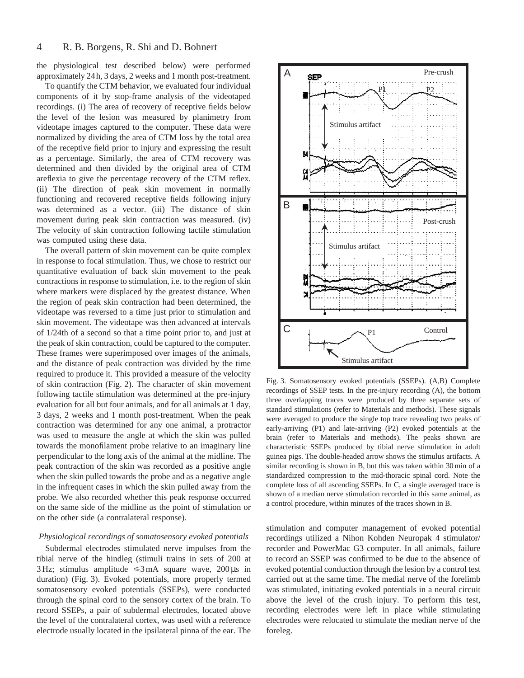the physiological test described below) were performed approximately 24 h, 3 days, 2 weeks and 1 month post-treatment.

To quantify the CTM behavior, we evaluated four individual components of it by stop-frame analysis of the videotaped recordings. (i) The area of recovery of receptive fields below the level of the lesion was measured by planimetry from videotape images captured to the computer. These data were normalized by dividing the area of CTM loss by the total area of the receptive field prior to injury and expressing the result as a percentage. Similarly, the area of CTM recovery was determined and then divided by the original area of CTM areflexia to give the percentage recovery of the CTM reflex. (ii) The direction of peak skin movement in normally functioning and recovered receptive fields following injury was determined as a vector. (iii) The distance of skin movement during peak skin contraction was measured. (iv) The velocity of skin contraction following tactile stimulation was computed using these data.

The overall pattern of skin movement can be quite complex in response to focal stimulation. Thus, we chose to restrict our quantitative evaluation of back skin movement to the peak contractions in response to stimulation, i.e. to the region of skin where markers were displaced by the greatest distance. When the region of peak skin contraction had been determined, the videotape was reversed to a time just prior to stimulation and skin movement. The videotape was then advanced at intervals of 1/24th of a second so that a time point prior to, and just at the peak of skin contraction, could be captured to the computer. These frames were superimposed over images of the animals, and the distance of peak contraction was divided by the time required to produce it. This provided a measure of the velocity of skin contraction (Fig. 2). The character of skin movement following tactile stimulation was determined at the pre-injury evaluation for all but four animals, and for all animals at 1 day, 3 days, 2 weeks and 1 month post-treatment. When the peak contraction was determined for any one animal, a protractor was used to measure the angle at which the skin was pulled towards the monofilament probe relative to an imaginary line perpendicular to the long axis of the animal at the midline. The peak contraction of the skin was recorded as a positive angle when the skin pulled towards the probe and as a negative angle in the infrequent cases in which the skin pulled away from the probe. We also recorded whether this peak response occurred on the same side of the midline as the point of stimulation or on the other side (a contralateral response).

# *Physiological recordings of somatosensory evoked potentials*

Subdermal electrodes stimulated nerve impulses from the tibial nerve of the hindleg (stimuli trains in sets of 200 at 3 Hz; stimulus amplitude  $\leq$ 3 mA square wave, 200 µs in duration) (Fig. 3). Evoked potentials, more properly termed somatosensory evoked potentials (SSEPs), were conducted through the spinal cord to the sensory cortex of the brain. To record SSEPs, a pair of subdermal electrodes, located above the level of the contralateral cortex, was used with a reference electrode usually located in the ipsilateral pinna of the ear. The



Fig. 3. Somatosensory evoked potentials (SSEPs). (A,B) Complete recordings of SSEP tests. In the pre-injury recording (A), the bottom three overlapping traces were produced by three separate sets of standard stimulations (refer to Materials and methods). These signals were averaged to produce the single top trace revealing two peaks of early-arriving (P1) and late-arriving (P2) evoked potentials at the brain (refer to Materials and methods). The peaks shown are characteristic SSEPs produced by tibial nerve stimulation in adult guinea pigs. The double-headed arrow shows the stimulus artifacts. A similar recording is shown in B, but this was taken within 30 min of a standardized compression to the mid-thoracic spinal cord. Note the complete loss of all ascending SSEPs. In C, a single averaged trace is shown of a median nerve stimulation recorded in this same animal, as a control procedure, within minutes of the traces shown in B.

stimulation and computer management of evoked potential recordings utilized a Nihon Kohden Neuropak 4 stimulator/ recorder and PowerMac G3 computer. In all animals, failure to record an SSEP was confirmed to be due to the absence of evoked potential conduction through the lesion by a control test carried out at the same time. The medial nerve of the forelimb was stimulated, initiating evoked potentials in a neural circuit above the level of the crush injury. To perform this test, recording electrodes were left in place while stimulating electrodes were relocated to stimulate the median nerve of the foreleg.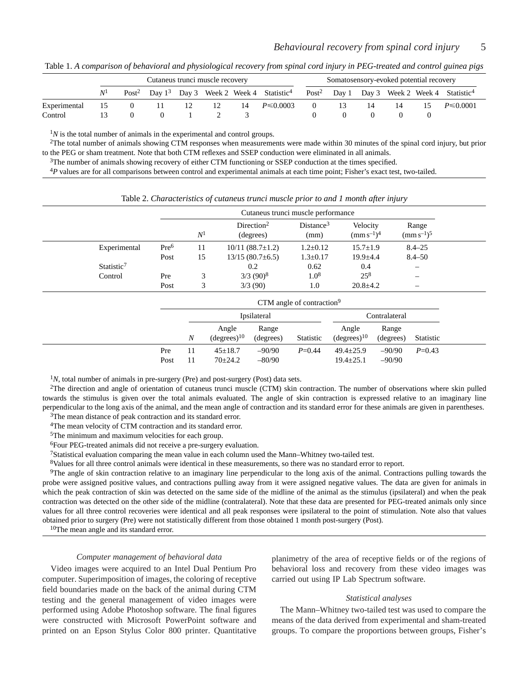Table 1. *A comparison of behavioral and physiological recovery from spinal cord injury in PEG-treated and control guinea pigs*

|              | Cutaneus trunci muscle recovery |   |     |  |      |    |                                                                                 |   | Somatosensory-evoked potential recovery |     |    |     |                                                                    |  |
|--------------|---------------------------------|---|-----|--|------|----|---------------------------------------------------------------------------------|---|-----------------------------------------|-----|----|-----|--------------------------------------------------------------------|--|
|              |                                 |   |     |  |      |    | Post <sup>2</sup> Day 1 <sup>3</sup> Day 3 Week 2 Week 4 Statistic <sup>4</sup> |   |                                         |     |    |     | Post <sup>2</sup> Day 1 Day 3 Week 2 Week 4 Statistic <sup>4</sup> |  |
| Experimental | 15                              | 0 | -11 |  | - 12 | 14 | $P \le 0.0003$                                                                  | 0 | 13.                                     | -14 | 14 | 15. | $P \le 0.0001$                                                     |  |
| Control      |                                 |   |     |  |      |    |                                                                                 |   |                                         |     |    |     |                                                                    |  |

 $1/N$  is the total number of animals in the experimental and control groups.

 $2$ The total number of animals showing CTM responses when measurements were made within 30 minutes of the spinal cord injury, but prior to the PEG or sham treatment. Note that both CTM reflexes and SSEP conduction were eliminated in all animals.

3The number of animals showing recovery of either CTM functioning or SSEP conduction at the times specified.

<sup>4</sup>*P* values are for all comparisons between control and experimental animals at each time point; Fisher's exact test, two-tailed.

|                        |                  | Cutaneus trunci muscle performance |                                     |                               |                             |                          |  |
|------------------------|------------------|------------------------------------|-------------------------------------|-------------------------------|-----------------------------|--------------------------|--|
|                        |                  | $N^{\rm l}$                        | Direction <sup>2</sup><br>(degrees) | Distance <sup>3</sup><br>(mm) | Velocity<br>$(mm s^{-1})^4$ | Range<br>$(mm s^{-1})^5$ |  |
| Experimental           | Pre <sup>6</sup> | 11                                 | $10/11(88.7\pm1.2)$                 | $1.2 \pm 0.12$                | $15.7 \pm 1.9$              | $8.4 - 25$               |  |
|                        | Post             | 15                                 | $13/15(80.7\pm 6.5)$                | $1.3 \pm 0.17$                | $19.9 + 4.4$                | $8.4 - 50$               |  |
| Statistic <sup>7</sup> |                  |                                    | 0.2                                 | 0.62                          | 0.4                         |                          |  |
| Control                | Pre              |                                    | $3/3$ (90) <sup>8</sup>             | $1.0^{8}$                     | $25^{8}$                    | $\overline{\phantom{0}}$ |  |
|                        | Post             |                                    | 3/3(90)                             | 1.0                           | $20.8 \pm 4.2$              | –                        |  |

Table 2. *Characteristics of cutaneus trunci muscle prior to and 1 month after injury*

| CTM angle of contraction <sup>9</sup> |          |                                  |                      |               |                                    |                      |            |
|---------------------------------------|----------|----------------------------------|----------------------|---------------|------------------------------------|----------------------|------------|
| Ipsilateral                           |          |                                  |                      | Contralateral |                                    |                      |            |
|                                       | N        | Angle<br>(degrees) <sup>10</sup> | Range<br>(degrees)   | Statistic     | Angle<br>(degrees) <sup>10</sup>   | Range<br>(degrees)   | Statistic  |
| Pre<br>Post                           | 11<br>11 | $45 \pm 18.7$<br>$70\pm 24.2$    | $-90/90$<br>$-80/90$ | $P = 0.44$    | $49.4 \pm 25.9$<br>$19.4 \pm 25.1$ | $-90/90$<br>$-90/90$ | $P = 0.43$ |

<sup>1</sup>N, total number of animals in pre-surgery (Pre) and post-surgery (Post) data sets.

2The direction and angle of orientation of cutaneus trunci muscle (CTM) skin contraction. The number of observations where skin pulled towards the stimulus is given over the total animals evaluated. The angle of skin contraction is expressed relative to an imaginary line perpendicular to the long axis of the animal, and the mean angle of contraction and its standard error for these animals are given in parentheses. 3The mean distance of peak contraction and its standard error.

4The mean velocity of CTM contraction and its standard error.

5The minimum and maximum velocities for each group.

6Four PEG-treated animals did not receive a pre-surgery evaluation.

7Statistical evaluation comparing the mean value in each column used the Mann–Whitney two-tailed test.

8Values for all three control animals were identical in these measurements, so there was no standard error to report.

9The angle of skin contraction relative to an imaginary line perpendicular to the long axis of the animal. Contractions pulling towards the probe were assigned positive values, and contractions pulling away from it were assigned negative values. The data are given for animals in which the peak contraction of skin was detected on the same side of the midline of the animal as the stimulus (ipsilateral) and when the peak contraction was detected on the other side of the midline (contralateral). Note that these data are presented for PEG-treated animals only since values for all three control recoveries were identical and all peak responses were ipsilateral to the point of stimulation. Note also that values obtained prior to surgery (Pre) were not statistically different from those obtained 1 month post-surgery (Post).

10The mean angle and its standard error.

# *Computer management of behavioral data*

Video images were acquired to an Intel Dual Pentium Pro computer. Superimposition of images, the coloring of receptive field boundaries made on the back of the animal during CTM testing and the general management of video images were performed using Adobe Photoshop software. The final figures were constructed with Microsoft PowerPoint software and printed on an Epson Stylus Color 800 printer. Quantitative planimetry of the area of receptive fields or of the regions of behavioral loss and recovery from these video images was carried out using IP Lab Spectrum software.

# *Statistical analyses*

The Mann–Whitney two-tailed test was used to compare the means of the data derived from experimental and sham-treated groups. To compare the proportions between groups, Fisher's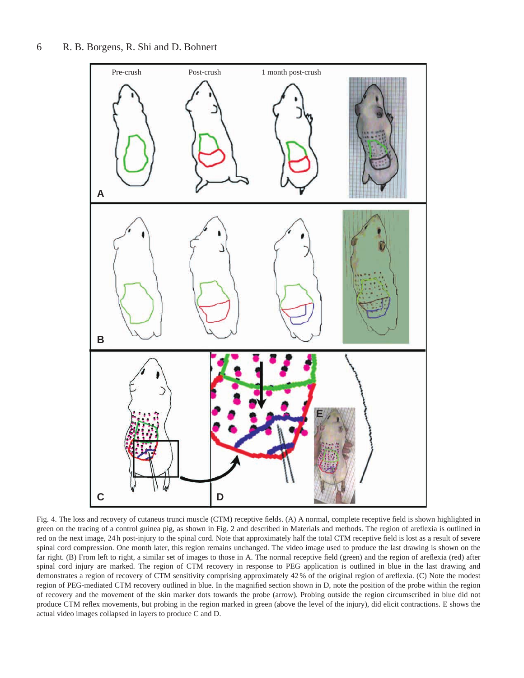

Fig. 4. The loss and recovery of cutaneus trunci muscle (CTM) receptive fields. (A) A normal, complete receptive field is shown highlighted in green on the tracing of a control guinea pig, as shown in Fig. 2 and described in Materials and methods. The region of areflexia is outlined in red on the next image, 24 h post-injury to the spinal cord. Note that approximately half the total CTM receptive field is lost as a result of severe spinal cord compression. One month later, this region remains unchanged. The video image used to produce the last drawing is shown on the far right. (B) From left to right, a similar set of images to those in A. The normal receptive field (green) and the region of areflexia (red) after spinal cord injury are marked. The region of CTM recovery in response to PEG application is outlined in blue in the last drawing and demonstrates a region of recovery of CTM sensitivity comprising approximately 42 % of the original region of areflexia. (C) Note the modest region of PEG-mediated CTM recovery outlined in blue. In the magnified section shown in D, note the position of the probe within the region of recovery and the movement of the skin marker dots towards the probe (arrow). Probing outside the region circumscribed in blue did not produce CTM reflex movements, but probing in the region marked in green (above the level of the injury), did elicit contractions. E shows the actual video images collapsed in layers to produce C and D.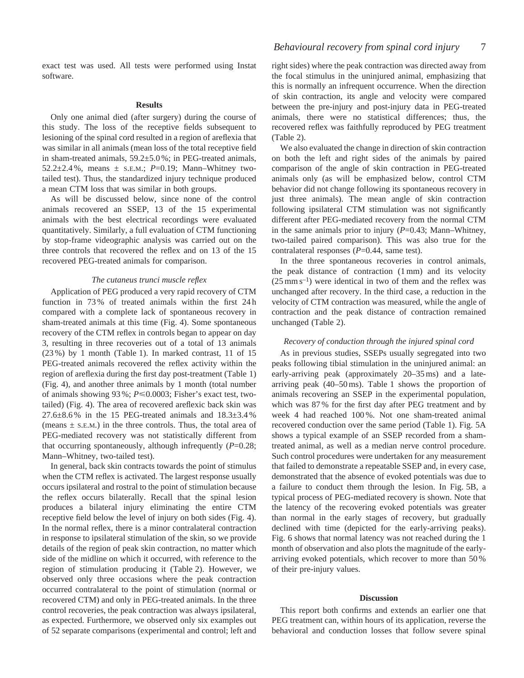exact test was used. All tests were performed using Instat software.

#### **Results**

Only one animal died (after surgery) during the course of this study. The loss of the receptive fields subsequent to lesioning of the spinal cord resulted in a region of areflexia that was similar in all animals (mean loss of the total receptive field in sham-treated animals, 59.2±5.0 %; in PEG-treated animals, 52.2 $\pm$ 2.4%, means  $\pm$  s.e.m.; *P*=0.19; Mann–Whitney twotailed test). Thus, the standardized injury technique produced a mean CTM loss that was similar in both groups.

As will be discussed below, since none of the control animals recovered an SSEP, 13 of the 15 experimental animals with the best electrical recordings were evaluated quantitatively. Similarly, a full evaluation of CTM functioning by stop-frame videographic analysis was carried out on the three controls that recovered the reflex and on 13 of the 15 recovered PEG-treated animals for comparison.

### *The cutaneus trunci muscle reflex*

Application of PEG produced a very rapid recovery of CTM function in 73 % of treated animals within the first 24 h compared with a complete lack of spontaneous recovery in sham-treated animals at this time (Fig. 4). Some spontaneous recovery of the CTM reflex in controls began to appear on day 3, resulting in three recoveries out of a total of 13 animals (23 %) by 1 month (Table 1). In marked contrast, 11 of 15 PEG-treated animals recovered the reflex activity within the region of areflexia during the first day post-treatment (Table 1) (Fig. 4), and another three animals by 1 month (total number of animals showing 93 %; *P*<0.0003; Fisher's exact test, twotailed) (Fig. 4). The area of recovered areflexic back skin was  $27.6\pm8.6\%$  in the 15 PEG-treated animals and  $18.3\pm3.4\%$ (means  $\pm$  s.e.m.) in the three controls. Thus, the total area of PEG-mediated recovery was not statistically different from that occurring spontaneously, although infrequently (*P*=0.28; Mann–Whitney, two-tailed test).

In general, back skin contracts towards the point of stimulus when the CTM reflex is activated. The largest response usually occurs ipsilateral and rostral to the point of stimulation because the reflex occurs bilaterally. Recall that the spinal lesion produces a bilateral injury eliminating the entire CTM receptive field below the level of injury on both sides (Fig. 4). In the normal reflex, there is a minor contralateral contraction in response to ipsilateral stimulation of the skin, so we provide details of the region of peak skin contraction, no matter which side of the midline on which it occurred, with reference to the region of stimulation producing it (Table 2). However, we observed only three occasions where the peak contraction occurred contralateral to the point of stimulation (normal or recovered CTM) and only in PEG-treated animals. In the three control recoveries, the peak contraction was always ipsilateral, as expected. Furthermore, we observed only six examples out of 52 separate comparisons (experimental and control; left and right sides) where the peak contraction was directed away from the focal stimulus in the uninjured animal, emphasizing that this is normally an infrequent occurrence. When the direction of skin contraction, its angle and velocity were compared between the pre-injury and post-injury data in PEG-treated animals, there were no statistical differences; thus, the recovered reflex was faithfully reproduced by PEG treatment (Table 2).

We also evaluated the change in direction of skin contraction on both the left and right sides of the animals by paired comparison of the angle of skin contraction in PEG-treated animals only (as will be emphasized below, control CTM behavior did not change following its spontaneous recovery in just three animals). The mean angle of skin contraction following ipsilateral CTM stimulation was not significantly different after PEG-mediated recovery from the normal CTM in the same animals prior to injury (*P*=0.43; Mann–Whitney, two-tailed paired comparison). This was also true for the contralateral responses (*P*=0.44, same test).

In the three spontaneous recoveries in control animals, the peak distance of contraction (1 mm) and its velocity  $(25 \text{ mm s}^{-1})$  were identical in two of them and the reflex was unchanged after recovery. In the third case, a reduction in the velocity of CTM contraction was measured, while the angle of contraction and the peak distance of contraction remained unchanged (Table 2).

### *Recovery of conduction through the injured spinal cord*

As in previous studies, SSEPs usually segregated into two peaks following tibial stimulation in the uninjured animal: an early-arriving peak (approximately 20–35 ms) and a latearriving peak (40–50 ms). Table 1 shows the proportion of animals recovering an SSEP in the experimental population, which was 87 % for the first day after PEG treatment and by week 4 had reached 100 %. Not one sham-treated animal recovered conduction over the same period (Table 1). Fig. 5A shows a typical example of an SSEP recorded from a shamtreated animal, as well as a median nerve control procedure. Such control procedures were undertaken for any measurement that failed to demonstrate a repeatable SSEP and, in every case, demonstrated that the absence of evoked potentials was due to a failure to conduct them through the lesion. In Fig. 5B, a typical process of PEG-mediated recovery is shown. Note that the latency of the recovering evoked potentials was greater than normal in the early stages of recovery, but gradually declined with time (depicted for the early-arriving peaks). Fig. 6 shows that normal latency was not reached during the 1 month of observation and also plots the magnitude of the earlyarriving evoked potentials, which recover to more than 50 % of their pre-injury values.

# **Discussion**

This report both confirms and extends an earlier one that PEG treatment can, within hours of its application, reverse the behavioral and conduction losses that follow severe spinal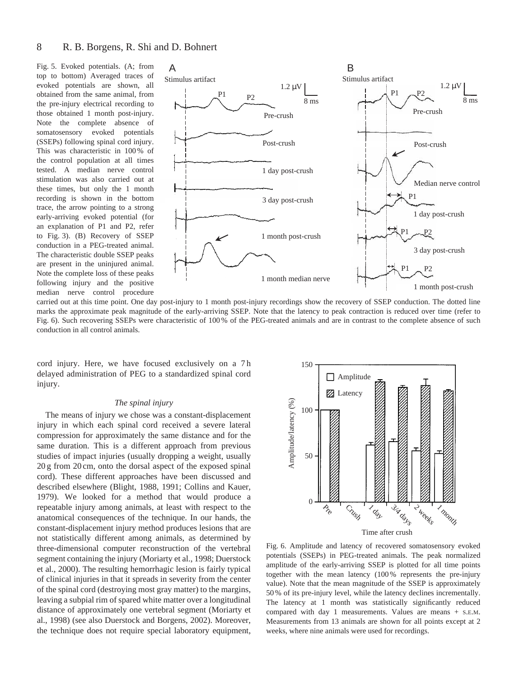Fig. 5. Evoked potentials. (A; from top to bottom) Averaged traces of evoked potentials are shown, all obtained from the same animal, from the pre-injury electrical recording to those obtained 1 month post-injury. Note the complete absence of somatosensory evoked potentials (SSEPs) following spinal cord injury. This was characteristic in 100 % of the control population at all times tested. A median nerve control stimulation was also carried out at these times, but only the 1 month recording is shown in the bottom trace, the arrow pointing to a strong early-arriving evoked potential (for an explanation of P1 and P2, refer to Fig. 3). (B) Recovery of SSEP conduction in a PEG-treated animal. The characteristic double SSEP peaks are present in the uninjured animal. Note the complete loss of these peaks following injury and the positive median nerve control procedure



carried out at this time point. One day post-injury to 1 month post-injury recordings show the recovery of SSEP conduction. The dotted line marks the approximate peak magnitude of the early-arriving SSEP. Note that the latency to peak contraction is reduced over time (refer to Fig. 6). Such recovering SSEPs were characteristic of 100 % of the PEG-treated animals and are in contrast to the complete absence of such conduction in all control animals.

cord injury. Here, we have focused exclusively on a 7 h delayed administration of PEG to a standardized spinal cord injury.

# *The spinal injury*

The means of injury we chose was a constant-displacement injury in which each spinal cord received a severe lateral compression for approximately the same distance and for the same duration. This is a different approach from previous studies of impact injuries (usually dropping a weight, usually 20 g from 20 cm, onto the dorsal aspect of the exposed spinal cord). These different approaches have been discussed and described elsewhere (Blight, 1988, 1991; Collins and Kauer, 1979). We looked for a method that would produce a repeatable injury among animals, at least with respect to the anatomical consequences of the technique. In our hands, the constant-displacement injury method produces lesions that are not statistically different among animals, as determined by three-dimensional computer reconstruction of the vertebral segment containing the injury (Moriarty et al., 1998; Duerstock et al., 2000). The resulting hemorrhagic lesion is fairly typical of clinical injuries in that it spreads in severity from the center of the spinal cord (destroying most gray matter) to the margins, leaving a subpial rim of spared white matter over a longitudinal distance of approximately one vertebral segment (Moriarty et al., 1998) (see also Duerstock and Borgens, 2002). Moreover, the technique does not require special laboratory equipment,



Fig. 6. Amplitude and latency of recovered somatosensory evoked potentials (SSEPs) in PEG-treated animals. The peak normalized amplitude of the early-arriving SSEP is plotted for all time points together with the mean latency (100 % represents the pre-injury value). Note that the mean magnitude of the SSEP is approximately 50 % of its pre-injury level, while the latency declines incrementally. The latency at 1 month was statistically significantly reduced compared with day 1 measurements. Values are means + S.E.M. Measurements from 13 animals are shown for all points except at 2 weeks, where nine animals were used for recordings.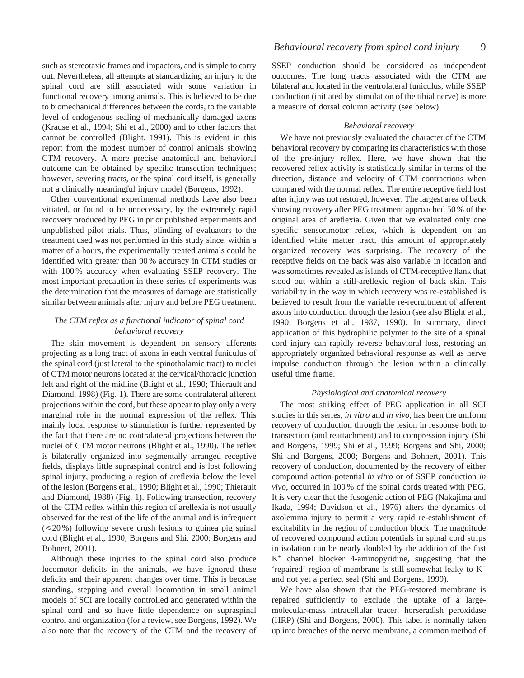such as stereotaxic frames and impactors, and is simple to carry out. Nevertheless, all attempts at standardizing an injury to the spinal cord are still associated with some variation in functional recovery among animals. This is believed to be due to biomechanical differences between the cords, to the variable level of endogenous sealing of mechanically damaged axons (Krause et al., 1994; Shi et al., 2000) and to other factors that cannot be controlled (Blight, 1991). This is evident in this report from the modest number of control animals showing CTM recovery. A more precise anatomical and behavioral outcome can be obtained by specific transection techniques; however, severing tracts, or the spinal cord itself, is generally not a clinically meaningful injury model (Borgens, 1992).

Other conventional experimental methods have also been vitiated, or found to be unnecessary, by the extremely rapid recovery produced by PEG in prior published experiments and unpublished pilot trials. Thus, blinding of evaluators to the treatment used was not performed in this study since, within a matter of a hours, the experimentally treated animals could be identified with greater than 90 % accuracy in CTM studies or with 100 % accuracy when evaluating SSEP recovery. The most important precaution in these series of experiments was the determination that the measures of damage are statistically similar between animals after injury and before PEG treatment.

# *The CTM reflex as a functional indicator of spinal cord behavioral recovery*

The skin movement is dependent on sensory afferents projecting as a long tract of axons in each ventral funiculus of the spinal cord (just lateral to the spinothalamic tract) to nuclei of CTM motor neurons located at the cervical/thoracic junction left and right of the midline (Blight et al., 1990; Thierault and Diamond, 1998) (Fig. 1). There are some contralateral afferent projections within the cord, but these appear to play only a very marginal role in the normal expression of the reflex. This mainly local response to stimulation is further represented by the fact that there are no contralateral projections between the nuclei of CTM motor neurons (Blight et al., 1990). The reflex is bilaterally organized into segmentally arranged receptive fields, displays little supraspinal control and is lost following spinal injury, producing a region of areflexia below the level of the lesion (Borgens et al., 1990; Blight et al., 1990; Thierault and Diamond, 1988) (Fig. 1). Following transection, recovery of the CTM reflex within this region of areflexia is not usually observed for the rest of the life of the animal and is infrequent  $(\leq 20\%)$  following severe crush lesions to guinea pig spinal cord (Blight et al., 1990; Borgens and Shi, 2000; Borgens and Bohnert, 2001).

Although these injuries to the spinal cord also produce locomotor deficits in the animals, we have ignored these deficits and their apparent changes over time. This is because standing, stepping and overall locomotion in small animal models of SCI are locally controlled and generated within the spinal cord and so have little dependence on supraspinal control and organization (for a review, see Borgens, 1992). We also note that the recovery of the CTM and the recovery of SSEP conduction should be considered as independent outcomes. The long tracts associated with the CTM are bilateral and located in the ventrolateral funiculus, while SSEP conduction (initiated by stimulation of the tibial nerve) is more a measure of dorsal column activity (see below).

# *Behavioral recovery*

We have not previously evaluated the character of the CTM behavioral recovery by comparing its characteristics with those of the pre-injury reflex. Here, we have shown that the recovered reflex activity is statistically similar in terms of the direction, distance and velocity of CTM contractions when compared with the normal reflex. The entire receptive field lost after injury was not restored, however. The largest area of back showing recovery after PEG treatment approached 50 % of the original area of areflexia. Given that we evaluated only one specific sensorimotor reflex, which is dependent on an identified white matter tract, this amount of appropriately organized recovery was surprising. The recovery of the receptive fields on the back was also variable in location and was sometimes revealed as islands of CTM-receptive flank that stood out within a still-areflexic region of back skin. This variability in the way in which recovery was re-established is believed to result from the variable re-recruitment of afferent axons into conduction through the lesion (see also Blight et al., 1990; Borgens et al., 1987, 1990). In summary, direct application of this hydrophilic polymer to the site of a spinal cord injury can rapidly reverse behavioral loss, restoring an appropriately organized behavioral response as well as nerve impulse conduction through the lesion within a clinically useful time frame.

# *Physiological and anatomical recovery*

The most striking effect of PEG application in all SCI studies in this series, *in vitro* and *in vivo*, has been the uniform recovery of conduction through the lesion in response both to transection (and reattachment) and to compression injury (Shi and Borgens, 1999; Shi et al., 1999; Borgens and Shi, 2000; Shi and Borgens, 2000; Borgens and Bohnert, 2001). This recovery of conduction, documented by the recovery of either compound action potential *in vitro* or of SSEP conduction *in vivo*, occurred in 100 % of the spinal cords treated with PEG. It is very clear that the fusogenic action of PEG (Nakajima and Ikada, 1994; Davidson et al., 1976) alters the dynamics of axolemma injury to permit a very rapid re-establishment of excitability in the region of conduction block. The magnitude of recovered compound action potentials in spinal cord strips in isolation can be nearly doubled by the addition of the fast  $K^+$  channel blocker 4-aminopyridine, suggesting that the 'repaired' region of membrane is still somewhat leaky to K+ and not yet a perfect seal (Shi and Borgens, 1999).

We have also shown that the PEG-restored membrane is repaired sufficiently to exclude the uptake of a largemolecular-mass intracellular tracer, horseradish peroxidase (HRP) (Shi and Borgens, 2000). This label is normally taken up into breaches of the nerve membrane, a common method of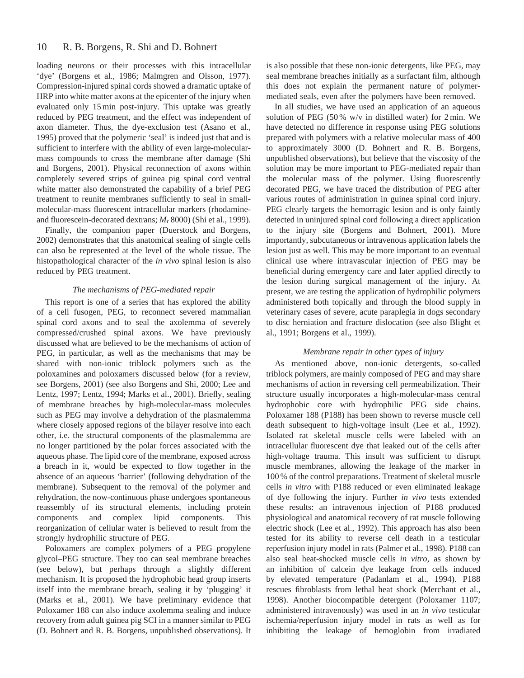#### 10 R. B. Borgens, R. Shi and D. Bohnert

loading neurons or their processes with this intracellular 'dye' (Borgens et al., 1986; Malmgren and Olsson, 1977). Compression-injured spinal cords showed a dramatic uptake of HRP into white matter axons at the epicenter of the injury when evaluated only 15 min post-injury. This uptake was greatly reduced by PEG treatment, and the effect was independent of axon diameter. Thus, the dye-exclusion test (Asano et al., 1995) proved that the polymeric 'seal' is indeed just that and is sufficient to interfere with the ability of even large-molecularmass compounds to cross the membrane after damage (Shi and Borgens, 2001). Physical reconnection of axons within completely severed strips of guinea pig spinal cord ventral white matter also demonstrated the capability of a brief PEG treatment to reunite membranes sufficiently to seal in smallmolecular-mass fluorescent intracellular markers (rhodamineand fluorescein-decorated dextrans; *M*r 8000) (Shi et al., 1999).

Finally, the companion paper (Duerstock and Borgens, 2002) demonstrates that this anatomical sealing of single cells can also be represented at the level of the whole tissue. The histopathological character of the *in vivo* spinal lesion is also reduced by PEG treatment.

# *The mechanisms of PEG-mediated repair*

This report is one of a series that has explored the ability of a cell fusogen, PEG, to reconnect severed mammalian spinal cord axons and to seal the axolemma of severely compressed/crushed spinal axons. We have previously discussed what are believed to be the mechanisms of action of PEG, in particular, as well as the mechanisms that may be shared with non-ionic triblock polymers such as the poloxamines and poloxamers discussed below (for a review, see Borgens, 2001) (see also Borgens and Shi, 2000; Lee and Lentz, 1997; Lentz, 1994; Marks et al., 2001). Briefly, sealing of membrane breaches by high-molecular-mass molecules such as PEG may involve a dehydration of the plasmalemma where closely apposed regions of the bilayer resolve into each other, i.e. the structural components of the plasmalemma are no longer partitioned by the polar forces associated with the aqueous phase. The lipid core of the membrane, exposed across a breach in it, would be expected to flow together in the absence of an aqueous 'barrier' (following dehydration of the membrane). Subsequent to the removal of the polymer and rehydration, the now-continuous phase undergoes spontaneous reassembly of its structural elements, including protein components and complex lipid components. This reorganization of cellular water is believed to result from the strongly hydrophilic structure of PEG.

Poloxamers are complex polymers of a PEG–propylene glycol–PEG structure. They too can seal membrane breaches (see below), but perhaps through a slightly different mechanism. It is proposed the hydrophobic head group inserts itself into the membrane breach, sealing it by 'plugging' it (Marks et al., 2001). We have preliminary evidence that Poloxamer 188 can also induce axolemma sealing and induce recovery from adult guinea pig SCI in a manner similar to PEG (D. Bohnert and R. B. Borgens, unpublished observations). It is also possible that these non-ionic detergents, like PEG, may seal membrane breaches initially as a surfactant film, although this does not explain the permanent nature of polymermediated seals, even after the polymers have been removed.

In all studies, we have used an application of an aqueous solution of PEG (50 % w/v in distilled water) for 2 min. We have detected no difference in response using PEG solutions prepared with polymers with a relative molecular mass of 400 to approximately 3000 (D. Bohnert and R. B. Borgens, unpublished observations), but believe that the viscosity of the solution may be more important to PEG-mediated repair than the molecular mass of the polymer. Using fluorescently decorated PEG, we have traced the distribution of PEG after various routes of administration in guinea spinal cord injury. PEG clearly targets the hemorragic lesion and is only faintly detected in uninjured spinal cord following a direct application to the injury site (Borgens and Bohnert, 2001). More importantly, subcutaneous or intravenous application labels the lesion just as well. This may be more important to an eventual clinical use where intravascular injection of PEG may be beneficial during emergency care and later applied directly to the lesion during surgical management of the injury. At present, we are testing the application of hydrophilic polymers administered both topically and through the blood supply in veterinary cases of severe, acute paraplegia in dogs secondary to disc herniation and fracture dislocation (see also Blight et al., 1991; Borgens et al., 1999).

# *Membrane repair in other types of injury*

As mentioned above, non-ionic detergents, so-called triblock polymers, are mainly composed of PEG and may share mechanisms of action in reversing cell permeabilization. Their structure usually incorporates a high-molecular-mass central hydrophobic core with hydrophilic PEG side chains. Poloxamer 188 (P188) has been shown to reverse muscle cell death subsequent to high-voltage insult (Lee et al., 1992). Isolated rat skeletal muscle cells were labeled with an intracellular fluorescent dye that leaked out of the cells after high-voltage trauma. This insult was sufficient to disrupt muscle membranes, allowing the leakage of the marker in 100 % of the control preparations. Treatment of skeletal muscle cells *in vitro* with P188 reduced or even eliminated leakage of dye following the injury. Further *in vivo* tests extended these results: an intravenous injection of P188 produced physiological and anatomical recovery of rat muscle following electric shock (Lee et al., 1992). This approach has also been tested for its ability to reverse cell death in a testicular reperfusion injury model in rats (Palmer et al., 1998). P188 can also seal heat-shocked muscle cells *in vitro*, as shown by an inhibition of calcein dye leakage from cells induced by elevated temperature (Padanlam et al., 1994). P188 rescues fibroblasts from lethal heat shock (Merchant et al., 1998). Another biocompatible detergent (Poloxamer 1107; administered intravenously) was used in an *in vivo* testicular ischemia/reperfusion injury model in rats as well as for inhibiting the leakage of hemoglobin from irradiated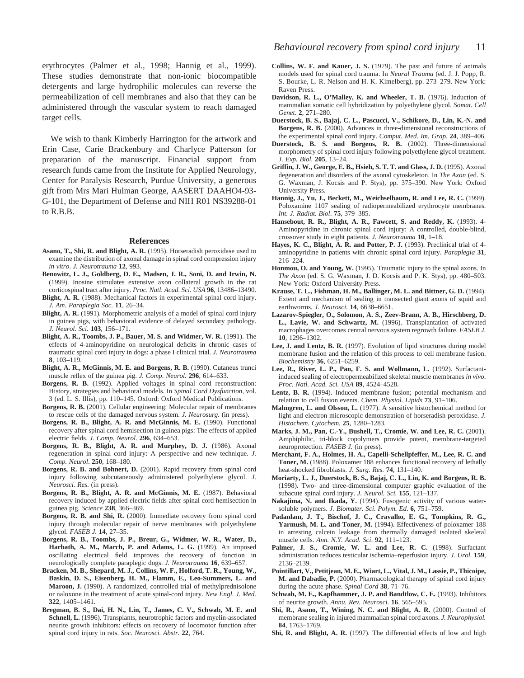erythrocytes (Palmer et al., 1998; Hannig et al., 1999). These studies demonstrate that non-ionic biocompatible detergents and large hydrophilic molecules can reverse the permeabilization of cell membranes and also that they can be administered through the vascular system to reach damaged target cells.

We wish to thank Kimberly Harrington for the artwork and Erin Case, Carie Brackenbury and Charlyce Patterson for preparation of the manuscript. Financial support from research funds came from the Institute for Applied Neurology, Center for Paralysis Research, Purdue University, a generous gift from Mrs Mari Hulman George, AASERT DAAHO4-93- G-101, the Department of Defense and NIH R01 NS39288-01 to R.B.B.

#### **References**

- **Asano, T., Shi, R. and Blight, A. R.** (1995). Horseradish peroxidase used to examine the distribution of axonal damage in spinal cord compression injury *in vitro*. *J. Neurotrauma* **12**, 993.
- **Benowitz, L. J., Goldberg, D. E., Madsen, J. R., Soni, D. and Irwin, N.** (1999). Inosine stimulates extensive axon collateral growth in the rat corticospinal tract after injury. *Proc. Natl. Acad. Sci. USA* **96**, 13486–13490.
- **Blight, A. R.** (1988). Mechanical factors in experimental spinal cord injury. *J. Am*. *Paraplegia Soc.* **11**, 26–34.
- **Blight, A. R.** (1991). Morphometric analysis of a model of spinal cord injury in guinea pigs, with behavioral evidence of delayed secondary pathology. *J. Neurol. Sci.* **103**, 156–171.
- **Blight, A. R., Toombs, J. P., Bauer, M. S. and Widmer, W. R.** (1991). The effects of 4-aminopyridine on neurological deficits in chronic cases of traumatic spinal cord injury in dogs: a phase I clinical trial. *J. Neurotrauma* **8**, 103–119.
- **Blight, A. R., McGinnis, M. E. and Borgens, R. B.** (1990). Cutaneus trunci muscle reflex of the guinea pig. *J. Comp. Neurol.* **296**, 614–633.
- **Borgens, R. B.** (1992). Applied voltages in spinal cord reconstruction: History, strategies and behavioral models. In *Spinal Cord Dysfunction*, vol. 3 (ed. L. S. Illis), pp. 110–145. Oxford: Oxford Medical Publications.
- **Borgens, R. B.** (2001). Cellular engineering: Molecular repair of membranes to rescue cells of the damaged nervous system. *J. Neurosurg.* (in press).
- **Borgens, R. B., Blight, A. R. and McGinnis, M. E.** (1990). Functional recovery after spinal cord hemisection in guinea pigs: The effects of applied electric fields. *J. Comp. Neurol*. **296**, 634–653.
- **Borgens, R. B., Blight, A. R. and Murphey, D. J.** (1986). Axonal regeneration in spinal cord injury: A perspective and new technique. *J. Comp. Neurol*. **250**, 168–180.
- **Borgens, R. B. and Bohnert, D.** (2001). Rapid recovery from spinal cord injury following subcutaneously administered polyethylene glycol. *J. Neurosci. Res.* (in press).
- **Borgens, R. B., Blight, A. R. and McGinnis, M. E.** (1987). Behavioral recovery induced by applied electric fields after spinal cord hemisection in guinea pig. *Science* **238**, 366–369.
- **Borgens, R. B. and Shi, R.** (2000). Immediate recovery from spinal cord injury through molecular repair of nerve membranes with polyethylene glycol. *FASEB J.* **14**, 27–35.
- **Borgens, R. B., Toombs, J. P., Breur, G., Widmer, W. R., Water, D., Harbath, A. M., March, P. and Adams, L. G.** (1999). An imposed oscillating electrical field improves the recovery of function in neurologically complete paraplegic dogs. *J. Neurotrauma* **16**, 639–657.
- **Bracken, M. B., Shepard, M. J., Collins, W. F., Holford, T. R., Young, W., Baskin, D. S., Eisenberg, H. M., Flamm, E., Leo-Summers, L. and Maroon, J.** (1990). A randomized, controlled trial of methylprednisolone or naloxone in the treatment of acute spinal-cord injury. *New Engl. J. Med.* **322**, 1405–1461.
- **Bregman, B. S., Dai, H. N., Lin, T., James, C. V., Schwab, M. E. and Schnell, L.** (1996). Transplants, neurotrophic factors and myelin-associated neurite growth inhibitors: effects on recovery of locomotor function after spinal cord injury in rats. *Soc. Neurosci. Abstr.* **22**, 764.
- **Collins, W. F. and Kauer, J. S.** (1979). The past and future of animals models used for spinal cord trauma. In *Neural Trauma* (ed. J. J. Popp, R. S. Bourke, L. R. Nelson and H. K. Kimelberg), pp. 273–279. New York: Raven Press.
- **Davidson, R. L., O'Malley, K. and Wheeler, T. B.** (1976). Induction of mammalian somatic cell hybridization by polyethylene glycol. *Somat. Cell Genet*. **2**, 271–280.
- **Duerstock, B. S., Bajaj, C. L., Pascucci, V., Schikore, D., Lin, K.-N. and Borgens, R. B.** (2000). Advances in three-dimensional reconstructions of the experimental spinal cord injury. *Comput. Med. Im. Grap.* **24**, 389–406.
- **Duerstock, B. S. and Borgens, R. B.** (2002). Three-dimensional morphometry of spinal cord injury following polyethylene glycol treatment. *J. Exp. Biol.* **205**, 13–24.
- **Griffin, J. W., George, E. B., Hsieh, S. T. T. and Glass, J. D.** (1995). Axonal degeneration and disorders of the axonal cytoskeleton. In *The Axon* (ed. S. G. Waxman, J. Kocsis and P. Stys), pp. 375–390. New York: Oxford University Press.
- **Hannig, J., Yu, J., Beckett, M., Weichselbaum, R. and Lee, R. C.** (1999). Poloxamine 1107 sealing of radiopermeabilized erythrocyte membranes. *Int. J. Radiat. Biol*. **75**, 379–385.
- **Hansebout, R. R., Blight, A. R., Fawcett, S. and Reddy, K.** (1993). 4- Aminopyridine in chronic spinal cord injury: A controlled, double-blind, crossover study in eight patients. *J. Neurotrauma* **10**, 1–18.
- Hayes, K. C., Blight, A. R. and Potter, P. J. (1993). Preclinical trial of 4aminopyridine in patients with chronic spinal cord injury. *Paraplegia* **31**, 216–224.
- **Honmou, O. and Young, W.** (1995). Traumatic injury to the spinal axons. In *The Axon* (ed. S. G. Waxman, J. D. Kocsis and P. K. Stys), pp. 480–503. New York: Oxford University Press.
- **Krause, T. L., Fishman, H. M., Ballinger, M. L. and Bittner, G. D.** (1994). Extent and mechanism of sealing in transected giant axons of squid and earthworms. *J. Neurosci.* **14**, 6638–6651.
- **Lazarov-Spiegler, O., Solomon, A. S., Zeev-Brann, A. B., Hirschberg, D. L., Lavie, W. and Schwartz, M.** (1996). Transplantation of activated macrophages overcomes central nervous system regrowth failure. *FASEB J.* **10**, 1296–1302.
- **Lee, J. and Lentz, B. R.** (1997). Evolution of lipid structures during model membrane fusion and the relation of this process to cell membrane fusion. *Biochemistry* **36**, 6251–6259.
- **Lee, R., River, L. P., Pan, F. S. and Wollmann, L.** (1992). Surfactantinduced sealing of electropermeabilized skeletal muscle membranes *in vivo*. *Proc. Natl. Acad. Sci. USA* **89**, 4524–4528.
- **Lentz, B. R.** (1994). Induced membrane fusion; potential mechanism and relation to cell fusion events. *Chem. Physiol. Lipids* **73**, 91–106.
- **Malmgren, L. and Olsson, L.** (1977). A sensitive histochemical method for light and electron microscopic demonstration of horseradish peroxidase. *J. Histochem. Cytochem.* **25**, 1280–1283.
- **Marks, J. M., Pan, C.-Y., Bushell, T., Cromie, W. and Lee, R. C.** (2001). Amphiphilic, tri-block copolymers provide potent, membrane-targeted neuroprotection. *FASEB J.* (in press).
- **Merchant, F. A., Holmes, H. A., Capelli-Schellpfeffer, M., Lee, R. C. and Toner, M.** (1988). Poloxamer 188 enhances functional recovery of lethally heat-shocked fibroblasts. *J. Surg. Res.* **74**, 131–140.
- **Moriarty, L. J., Duerstock, B. S., Bajaj, C. L., Lin, K. and Borgens, R. B.** (1998). Two- and three-dimensional computer graphic evaluation of the subacute spinal cord injury. *J. Neurol. Sci.* **155**, 121–137.
- **Nakajima, N. and Ikada, Y.** (1994). Fusogenic activity of various watersoluble polymers. *J. Biomater. Sci. Polym. Ed*. **6**, 751–759.
- **Padanlam, J. T., Bischof, J. C., Cravalho, E. G., Tompkins, R. G., Yarmush, M. L. and Toner, M.** (1994). Effectiveness of poloxamer 188 in arresting calcein leakage from thermally damaged isolated skeletal muscle cells. *Ann. N.Y. Acad. Sci*. **92**, 111–123.
- Palmer, J. S., Cromie, W. L. and Lee, R. C. (1998). Surfactant administration reduces testicular ischemia–reperfusion injury. *J. Urol.* **159**, 2136–2139.
- **Pointillart, V., Petitjean, M. E., Wiart, L., Vital, J. M., Lassie, P., Thicoipe, M. and Dabadie, P.** (2000). Pharmacological therapy of spinal cord injury during the acute phase. *Spinal Cord* **38**, 71–76.
- **Schwab, M. E., Kapfhammer, J. P. and Bandtlow, C. E.** (1993). Inhibitors of neurite growth. *Annu. Rev. Neurosci.* **16**, 565–595.
- **Shi, R., Asano, T., Wining, N. C. and Blight, A. R.** (2000). Control of membrane sealing in injured mammalian spinal cord axons. *J. Neurophysiol.* **84**, 1763–1769.
- **Shi, R. and Blight, A. R.** (1997). The differential effects of low and high